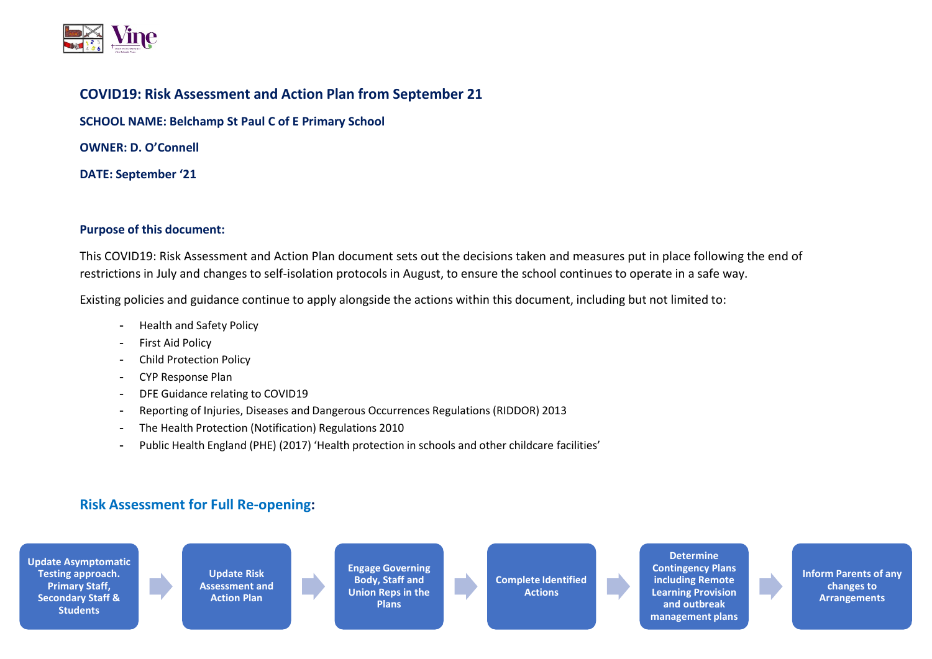

## **COVID19: Risk Assessment and Action Plan from September 21**

**SCHOOL NAME: Belchamp St Paul C of E Primary School**

**OWNER: D. O'Connell**

**DATE: September '21**

## **Purpose of this document:**

This COVID19: Risk Assessment and Action Plan document sets out the decisions taken and measures put in place following the end of restrictions in July and changes to self-isolation protocols in August, to ensure the school continues to operate in a safe way.

Existing policies and guidance continue to apply alongside the actions within this document, including but not limited to:

- Health and Safety Policy
- First Aid Policy
- Child Protection Policy
- CYP Response Plan
- DFE Guidance relating to COVID19
- Reporting of Injuries, Diseases and Dangerous Occurrences Regulations (RIDDOR) 2013
- The Health Protection (Notification) Regulations 2010
- Public Health England (PHE) (2017) 'Health protection in schools and other childcare facilities'

## **Risk Assessment for Full Re-opening:**

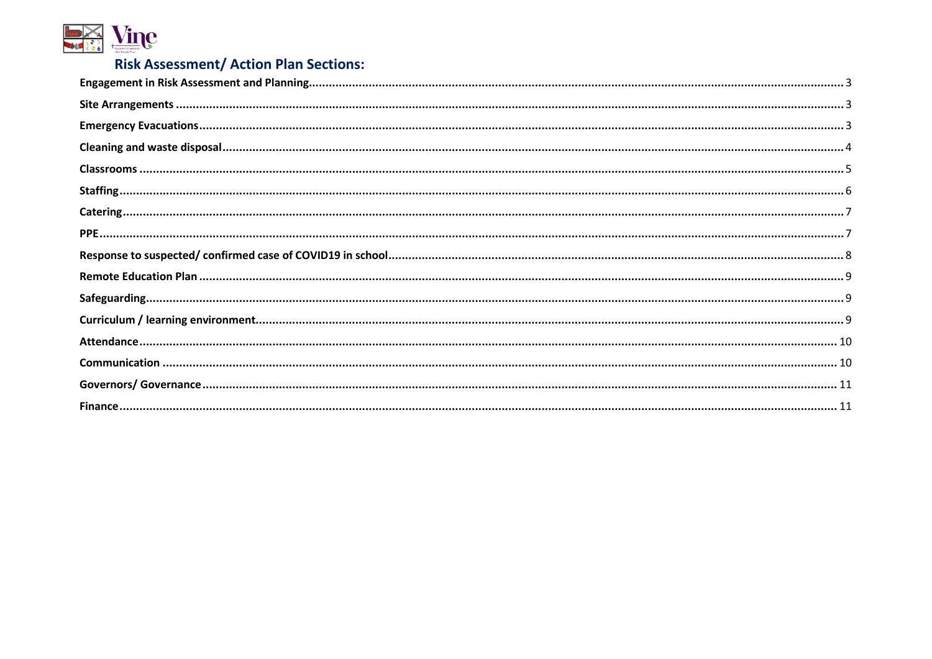

## **Risk Assessment/ Action Plan Sections:**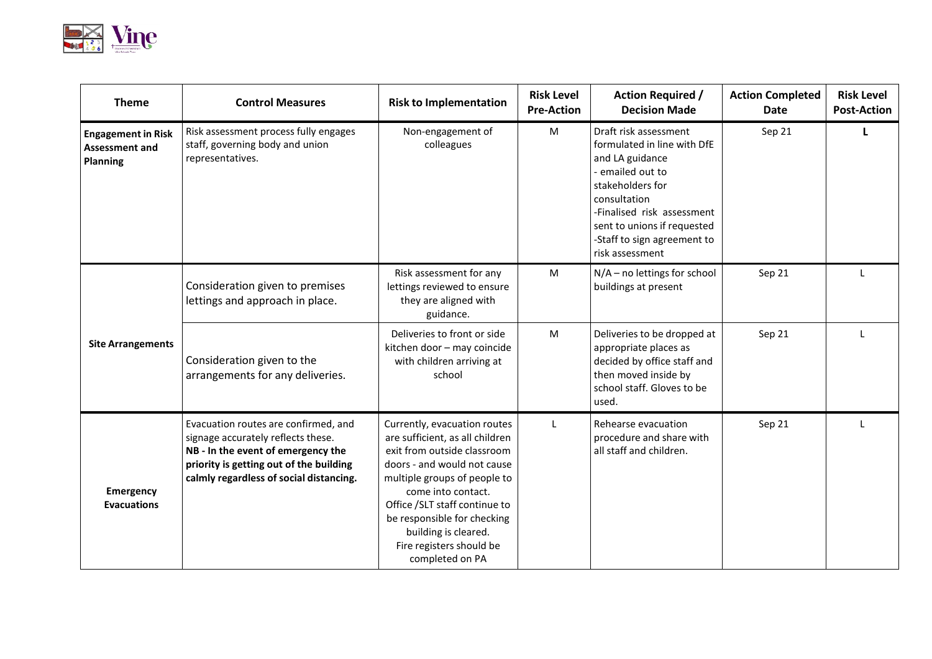

<span id="page-2-2"></span><span id="page-2-1"></span><span id="page-2-0"></span>

| <b>Theme</b>                                                   | <b>Control Measures</b>                                                                                                                                                                                | <b>Risk to Implementation</b>                                                                                                                                                                                                                                                                                              | <b>Risk Level</b><br><b>Pre-Action</b> | <b>Action Required /</b><br><b>Decision Made</b>                                                                                                                                                                                             | <b>Action Completed</b><br><b>Date</b> | <b>Risk Level</b><br><b>Post-Action</b> |
|----------------------------------------------------------------|--------------------------------------------------------------------------------------------------------------------------------------------------------------------------------------------------------|----------------------------------------------------------------------------------------------------------------------------------------------------------------------------------------------------------------------------------------------------------------------------------------------------------------------------|----------------------------------------|----------------------------------------------------------------------------------------------------------------------------------------------------------------------------------------------------------------------------------------------|----------------------------------------|-----------------------------------------|
| <b>Engagement in Risk</b><br><b>Assessment and</b><br>Planning | Risk assessment process fully engages<br>staff, governing body and union<br>representatives.                                                                                                           | Non-engagement of<br>colleagues                                                                                                                                                                                                                                                                                            | M                                      | Draft risk assessment<br>formulated in line with DfE<br>and LA guidance<br>emailed out to<br>stakeholders for<br>consultation<br>-Finalised risk assessment<br>sent to unions if requested<br>-Staff to sign agreement to<br>risk assessment | Sep 21                                 | L.                                      |
|                                                                | Consideration given to premises<br>lettings and approach in place.                                                                                                                                     | Risk assessment for any<br>lettings reviewed to ensure<br>they are aligned with<br>guidance.                                                                                                                                                                                                                               | M                                      | $N/A$ – no lettings for school<br>buildings at present                                                                                                                                                                                       | Sep 21                                 |                                         |
| <b>Site Arrangements</b>                                       | Consideration given to the<br>arrangements for any deliveries.                                                                                                                                         | Deliveries to front or side<br>kitchen door - may coincide<br>with children arriving at<br>school                                                                                                                                                                                                                          | M                                      | Deliveries to be dropped at<br>appropriate places as<br>decided by office staff and<br>then moved inside by<br>school staff. Gloves to be<br>used.                                                                                           | Sep 21                                 |                                         |
| <b>Emergency</b><br><b>Evacuations</b>                         | Evacuation routes are confirmed, and<br>signage accurately reflects these.<br>NB - In the event of emergency the<br>priority is getting out of the building<br>calmly regardless of social distancing. | Currently, evacuation routes<br>are sufficient, as all children<br>exit from outside classroom<br>doors - and would not cause<br>multiple groups of people to<br>come into contact.<br>Office /SLT staff continue to<br>be responsible for checking<br>building is cleared.<br>Fire registers should be<br>completed on PA | L                                      | Rehearse evacuation<br>procedure and share with<br>all staff and children.                                                                                                                                                                   | Sep 21                                 |                                         |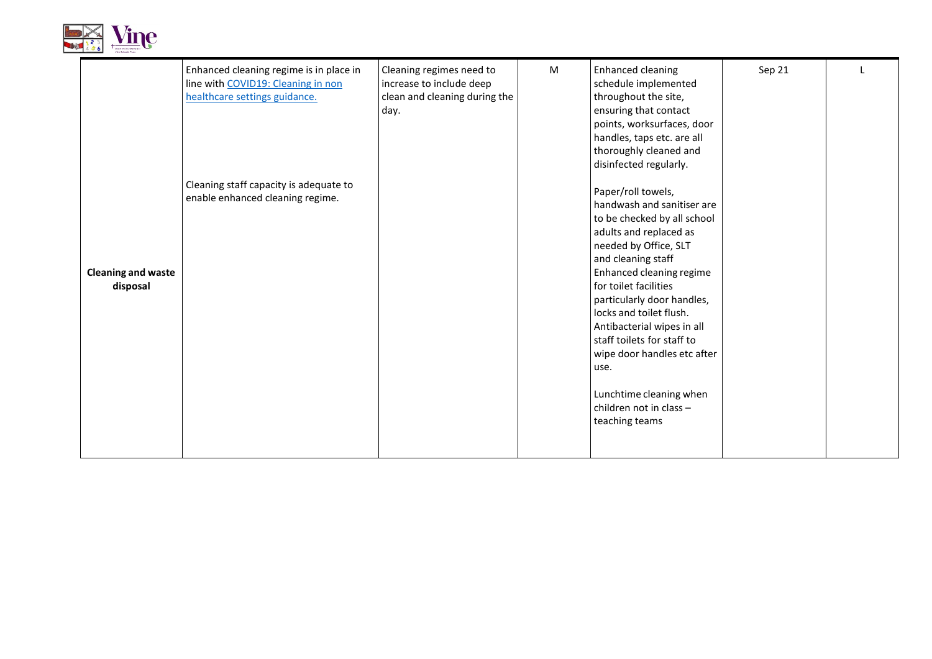

<span id="page-3-0"></span>

|                                       | Enhanced cleaning regime is in place in<br>line with COVID19: Cleaning in non<br>healthcare settings guidance. | Cleaning regimes need to<br>increase to include deep<br>clean and cleaning during the<br>day. | M | <b>Enhanced cleaning</b><br>schedule implemented<br>throughout the site,<br>ensuring that contact<br>points, worksurfaces, door<br>handles, taps etc. are all<br>thoroughly cleaned and<br>disinfected regularly.                                                                                                                                                                                                                                 | Sep 21 |  |
|---------------------------------------|----------------------------------------------------------------------------------------------------------------|-----------------------------------------------------------------------------------------------|---|---------------------------------------------------------------------------------------------------------------------------------------------------------------------------------------------------------------------------------------------------------------------------------------------------------------------------------------------------------------------------------------------------------------------------------------------------|--------|--|
| <b>Cleaning and waste</b><br>disposal | Cleaning staff capacity is adequate to<br>enable enhanced cleaning regime.                                     |                                                                                               |   | Paper/roll towels,<br>handwash and sanitiser are<br>to be checked by all school<br>adults and replaced as<br>needed by Office, SLT<br>and cleaning staff<br>Enhanced cleaning regime<br>for toilet facilities<br>particularly door handles,<br>locks and toilet flush.<br>Antibacterial wipes in all<br>staff toilets for staff to<br>wipe door handles etc after<br>use.<br>Lunchtime cleaning when<br>children not in class -<br>teaching teams |        |  |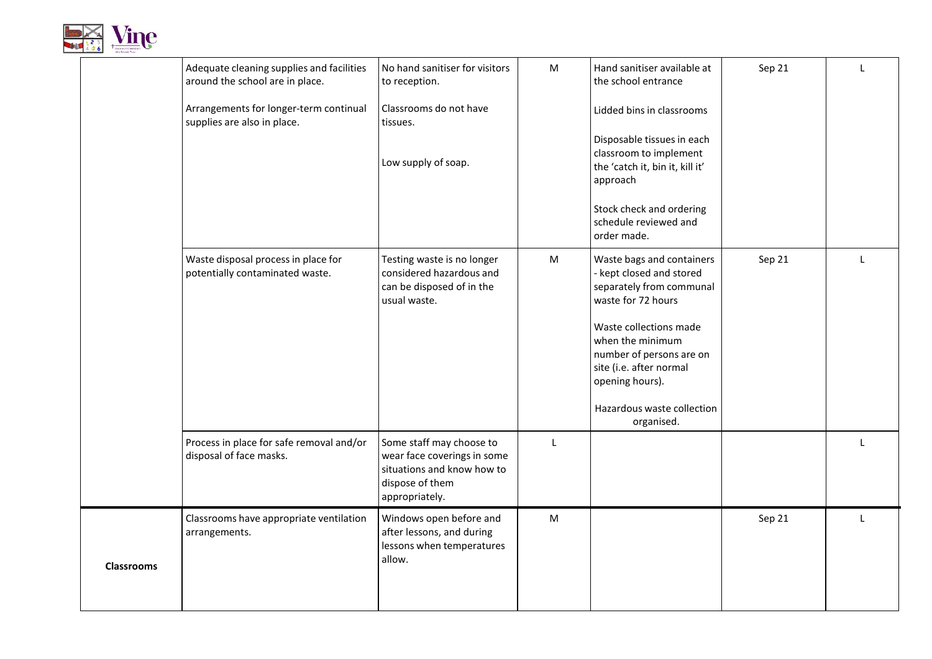

<span id="page-4-0"></span>

|                   | Adequate cleaning supplies and facilities<br>around the school are in place. | No hand sanitiser for visitors<br>to reception.                                                                            | ${\sf M}$    | Hand sanitiser available at<br>the school entrance                                                                   | Sep 21 | L            |
|-------------------|------------------------------------------------------------------------------|----------------------------------------------------------------------------------------------------------------------------|--------------|----------------------------------------------------------------------------------------------------------------------|--------|--------------|
|                   | Arrangements for longer-term continual<br>supplies are also in place.        | Classrooms do not have<br>tissues.                                                                                         |              | Lidded bins in classrooms                                                                                            |        |              |
|                   |                                                                              | Low supply of soap.                                                                                                        |              | Disposable tissues in each<br>classroom to implement<br>the 'catch it, bin it, kill it'<br>approach                  |        |              |
|                   |                                                                              |                                                                                                                            |              | Stock check and ordering<br>schedule reviewed and<br>order made.                                                     |        |              |
|                   | Waste disposal process in place for<br>potentially contaminated waste.       | Testing waste is no longer<br>considered hazardous and<br>can be disposed of in the<br>usual waste.                        | ${\sf M}$    | Waste bags and containers<br>- kept closed and stored<br>separately from communal<br>waste for 72 hours              | Sep 21 | $\mathbf{L}$ |
|                   |                                                                              |                                                                                                                            |              | Waste collections made<br>when the minimum<br>number of persons are on<br>site (i.e. after normal<br>opening hours). |        |              |
|                   |                                                                              |                                                                                                                            |              | Hazardous waste collection<br>organised.                                                                             |        |              |
|                   | Process in place for safe removal and/or<br>disposal of face masks.          | Some staff may choose to<br>wear face coverings in some<br>situations and know how to<br>dispose of them<br>appropriately. | $\mathsf{L}$ |                                                                                                                      |        | T            |
| <b>Classrooms</b> | Classrooms have appropriate ventilation<br>arrangements.                     | Windows open before and<br>after lessons, and during<br>lessons when temperatures<br>allow.                                | M            |                                                                                                                      | Sep 21 | L            |
|                   |                                                                              |                                                                                                                            |              |                                                                                                                      |        |              |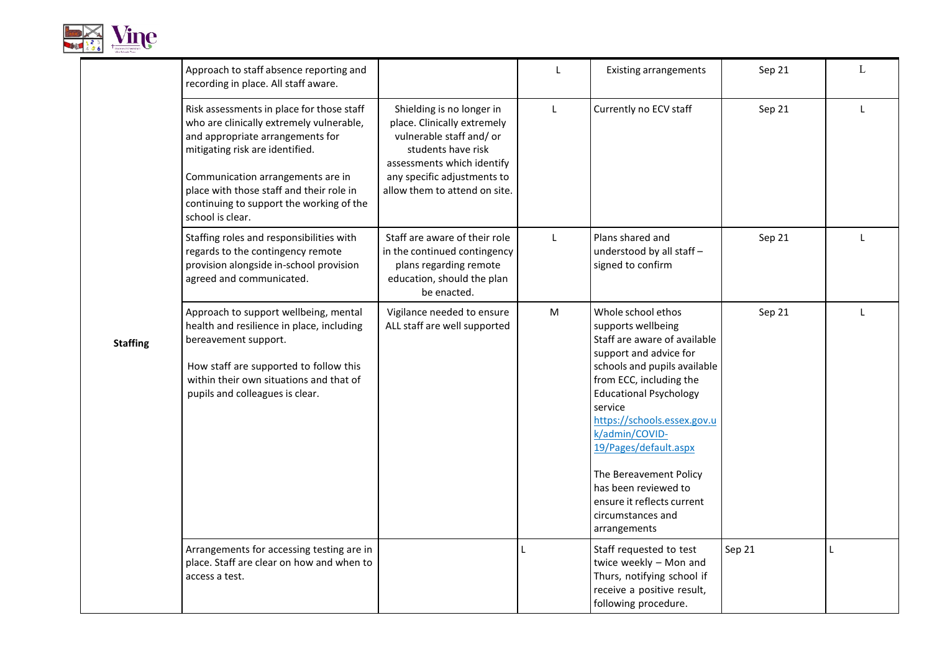

<span id="page-5-0"></span>

|                 | Approach to staff absence reporting and<br>recording in place. All staff aware.                                                                                                                                                                                                                               |                                                                                                                                                                                                          | L            | <b>Existing arrangements</b>                                                                                                                                                                                                                                                                                                                                                                             | Sep 21 | L            |
|-----------------|---------------------------------------------------------------------------------------------------------------------------------------------------------------------------------------------------------------------------------------------------------------------------------------------------------------|----------------------------------------------------------------------------------------------------------------------------------------------------------------------------------------------------------|--------------|----------------------------------------------------------------------------------------------------------------------------------------------------------------------------------------------------------------------------------------------------------------------------------------------------------------------------------------------------------------------------------------------------------|--------|--------------|
| <b>Staffing</b> | Risk assessments in place for those staff<br>who are clinically extremely vulnerable,<br>and appropriate arrangements for<br>mitigating risk are identified.<br>Communication arrangements are in<br>place with those staff and their role in<br>continuing to support the working of the<br>school is clear. | Shielding is no longer in<br>place. Clinically extremely<br>vulnerable staff and/ or<br>students have risk<br>assessments which identify<br>any specific adjustments to<br>allow them to attend on site. | $\mathsf{L}$ | Currently no ECV staff                                                                                                                                                                                                                                                                                                                                                                                   | Sep 21 | $\mathsf{L}$ |
|                 | Staffing roles and responsibilities with<br>regards to the contingency remote<br>provision alongside in-school provision<br>agreed and communicated.                                                                                                                                                          | Staff are aware of their role<br>in the continued contingency<br>plans regarding remote<br>education, should the plan<br>be enacted.                                                                     | L            | Plans shared and<br>understood by all staff -<br>signed to confirm                                                                                                                                                                                                                                                                                                                                       | Sep 21 | L            |
|                 | Approach to support wellbeing, mental<br>health and resilience in place, including<br>bereavement support.<br>How staff are supported to follow this<br>within their own situations and that of<br>pupils and colleagues is clear.                                                                            | Vigilance needed to ensure<br>ALL staff are well supported                                                                                                                                               | M            | Whole school ethos<br>supports wellbeing<br>Staff are aware of available<br>support and advice for<br>schools and pupils available<br>from ECC, including the<br><b>Educational Psychology</b><br>service<br>https://schools.essex.gov.u<br>k/admin/COVID-<br>19/Pages/default.aspx<br>The Bereavement Policy<br>has been reviewed to<br>ensure it reflects current<br>circumstances and<br>arrangements | Sep 21 | $\mathbf{I}$ |
|                 | Arrangements for accessing testing are in<br>place. Staff are clear on how and when to<br>access a test.                                                                                                                                                                                                      |                                                                                                                                                                                                          | L            | Staff requested to test<br>twice weekly - Mon and<br>Thurs, notifying school if<br>receive a positive result,<br>following procedure.                                                                                                                                                                                                                                                                    | Sep 21 | L            |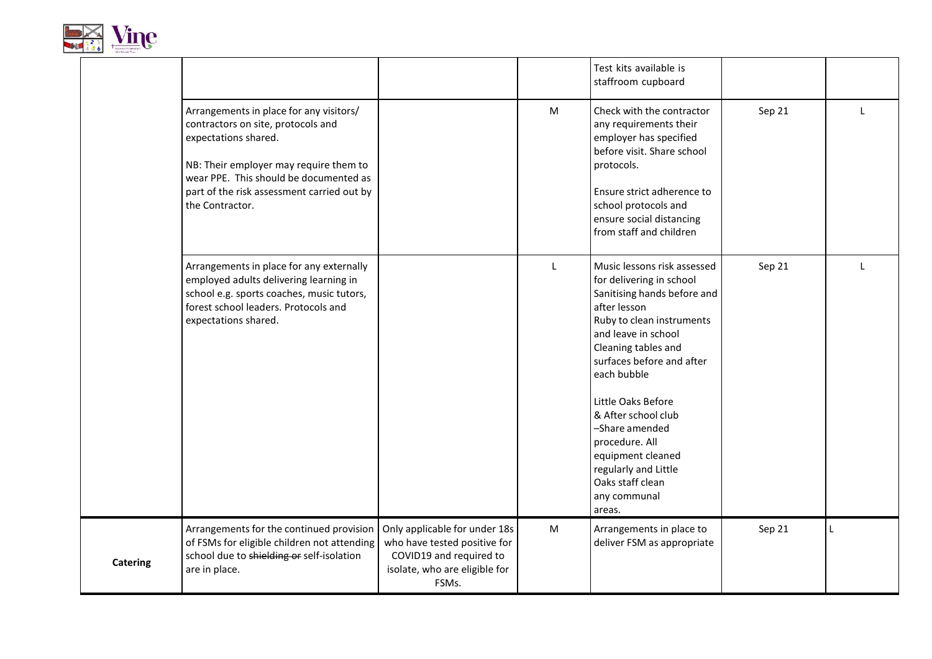

<span id="page-6-0"></span>

|                 |                                                                                                                                                                                                                                                            |                                                                                                                                    |   | Test kits available is<br>staffroom cupboard                                                                                                                                                                                           |        |              |
|-----------------|------------------------------------------------------------------------------------------------------------------------------------------------------------------------------------------------------------------------------------------------------------|------------------------------------------------------------------------------------------------------------------------------------|---|----------------------------------------------------------------------------------------------------------------------------------------------------------------------------------------------------------------------------------------|--------|--------------|
|                 | Arrangements in place for any visitors/<br>contractors on site, protocols and<br>expectations shared.<br>NB: Their employer may require them to<br>wear PPE. This should be documented as<br>part of the risk assessment carried out by<br>the Contractor. |                                                                                                                                    | M | Check with the contractor<br>any requirements their<br>employer has specified<br>before visit. Share school<br>protocols.<br>Ensure strict adherence to<br>school protocols and<br>ensure social distancing<br>from staff and children | Sep 21 | $\mathbf{I}$ |
|                 | Arrangements in place for any externally<br>employed adults delivering learning in<br>school e.g. sports coaches, music tutors,<br>forest school leaders. Protocols and<br>expectations shared.                                                            |                                                                                                                                    | L | Music lessons risk assessed<br>for delivering in school<br>Sanitising hands before and<br>after lesson<br>Ruby to clean instruments<br>and leave in school<br>Cleaning tables and<br>surfaces before and after<br>each bubble          | Sep 21 |              |
|                 |                                                                                                                                                                                                                                                            |                                                                                                                                    |   | Little Oaks Before<br>& After school club<br>-Share amended<br>procedure. All<br>equipment cleaned<br>regularly and Little<br>Oaks staff clean<br>any communal<br>areas.                                                               |        |              |
| <b>Catering</b> | Arrangements for the continued provision<br>of FSMs for eligible children not attending<br>school due to shielding or self-isolation<br>are in place.                                                                                                      | Only applicable for under 18s<br>who have tested positive for<br>COVID19 and required to<br>isolate, who are eligible for<br>FSMs. | M | Arrangements in place to<br>deliver FSM as appropriate                                                                                                                                                                                 | Sep 21 |              |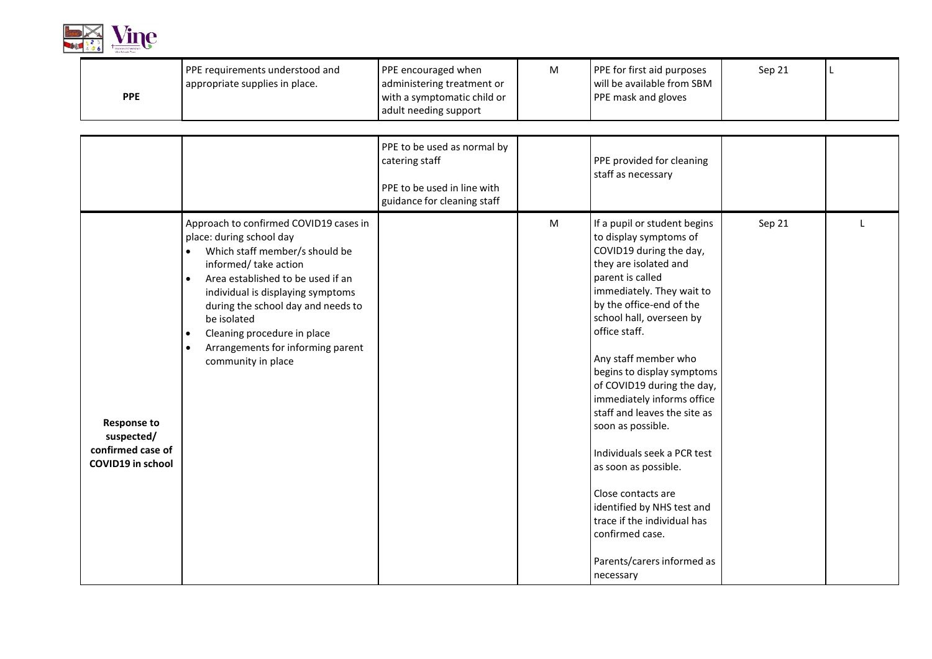

<span id="page-7-1"></span><span id="page-7-0"></span>

| <b>PPE</b>                                                                        | PPE requirements understood and<br>appropriate supplies in place.                                                                                                                                                                                                                                                                                                               | PPE encouraged when<br>administering treatment or<br>with a symptomatic child or<br>adult needing support   | M | PPE for first aid purposes<br>will be available from SBM<br>PPE mask and gloves                                                                                                                                                                                                                                                                                                                                                                                                                                                                                                                                     | Sep 21 | $\mathbf{I}$ |
|-----------------------------------------------------------------------------------|---------------------------------------------------------------------------------------------------------------------------------------------------------------------------------------------------------------------------------------------------------------------------------------------------------------------------------------------------------------------------------|-------------------------------------------------------------------------------------------------------------|---|---------------------------------------------------------------------------------------------------------------------------------------------------------------------------------------------------------------------------------------------------------------------------------------------------------------------------------------------------------------------------------------------------------------------------------------------------------------------------------------------------------------------------------------------------------------------------------------------------------------------|--------|--------------|
|                                                                                   |                                                                                                                                                                                                                                                                                                                                                                                 | PPE to be used as normal by<br>catering staff<br>PPE to be used in line with<br>guidance for cleaning staff |   | PPE provided for cleaning<br>staff as necessary                                                                                                                                                                                                                                                                                                                                                                                                                                                                                                                                                                     |        |              |
| <b>Response to</b><br>suspected/<br>confirmed case of<br><b>COVID19</b> in school | Approach to confirmed COVID19 cases in<br>place: during school day<br>Which staff member/s should be<br>$\bullet$<br>informed/take action<br>Area established to be used if an<br>$\bullet$<br>individual is displaying symptoms<br>during the school day and needs to<br>be isolated<br>Cleaning procedure in place<br>Arrangements for informing parent<br>community in place |                                                                                                             | M | If a pupil or student begins<br>to display symptoms of<br>COVID19 during the day,<br>they are isolated and<br>parent is called<br>immediately. They wait to<br>by the office-end of the<br>school hall, overseen by<br>office staff.<br>Any staff member who<br>begins to display symptoms<br>of COVID19 during the day,<br>immediately informs office<br>staff and leaves the site as<br>soon as possible.<br>Individuals seek a PCR test<br>as soon as possible.<br>Close contacts are<br>identified by NHS test and<br>trace if the individual has<br>confirmed case.<br>Parents/carers informed as<br>necessary | Sep 21 |              |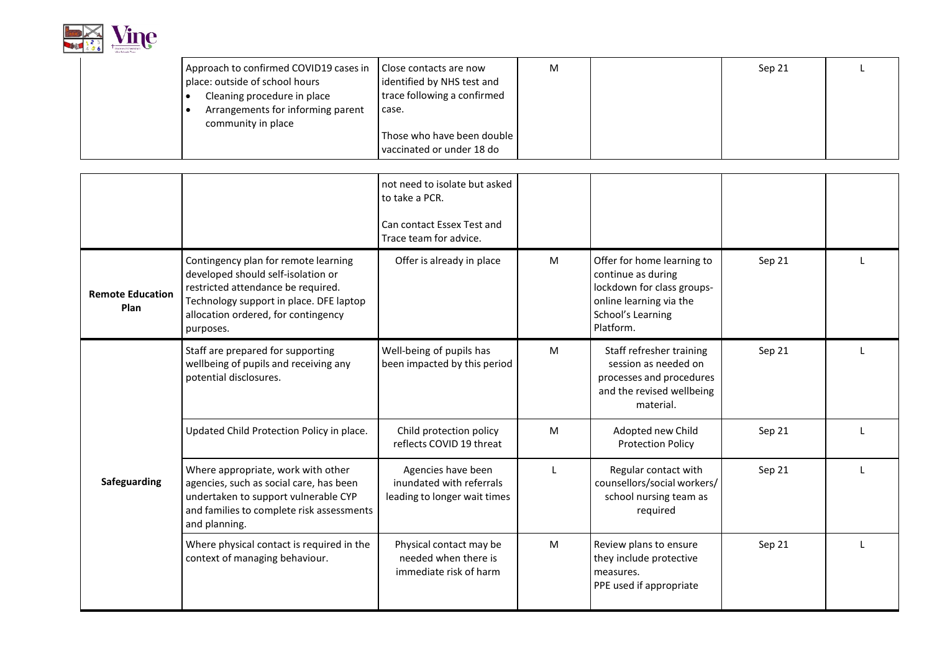

| Close contacts are now            | M                                      |                            | Sep 21 |  |
|-----------------------------------|----------------------------------------|----------------------------|--------|--|
| identified by NHS test and        |                                        |                            |        |  |
| trace following a confirmed       |                                        |                            |        |  |
| case.                             |                                        |                            |        |  |
|                                   |                                        |                            |        |  |
|                                   |                                        |                            |        |  |
| vaccinated or under 18 do         |                                        |                            |        |  |
| Arrangements for informing parent | Approach to confirmed COVID19 cases in | Those who have been double |        |  |

<span id="page-8-1"></span><span id="page-8-0"></span>

|                                        |                                                                                                                                                                                                                 | not need to isolate but asked<br>to take a PCR.<br>Can contact Essex Test and<br>Trace team for advice. |   |                                                                                                                                             |        |  |
|----------------------------------------|-----------------------------------------------------------------------------------------------------------------------------------------------------------------------------------------------------------------|---------------------------------------------------------------------------------------------------------|---|---------------------------------------------------------------------------------------------------------------------------------------------|--------|--|
| <b>Remote Education</b><br><b>Plan</b> | Contingency plan for remote learning<br>developed should self-isolation or<br>restricted attendance be required.<br>Technology support in place. DFE laptop<br>allocation ordered, for contingency<br>purposes. | Offer is already in place                                                                               | M | Offer for home learning to<br>continue as during<br>lockdown for class groups-<br>online learning via the<br>School's Learning<br>Platform. | Sep 21 |  |
|                                        | Staff are prepared for supporting<br>wellbeing of pupils and receiving any<br>potential disclosures.                                                                                                            | Well-being of pupils has<br>been impacted by this period                                                | M | Staff refresher training<br>session as needed on<br>processes and procedures<br>and the revised wellbeing<br>material.                      | Sep 21 |  |
|                                        | Updated Child Protection Policy in place.                                                                                                                                                                       | Child protection policy<br>reflects COVID 19 threat                                                     | M | Adopted new Child<br><b>Protection Policy</b>                                                                                               | Sep 21 |  |
| Safeguarding                           | Where appropriate, work with other<br>agencies, such as social care, has been<br>undertaken to support vulnerable CYP<br>and families to complete risk assessments<br>and planning.                             | Agencies have been<br>inundated with referrals<br>leading to longer wait times                          |   | Regular contact with<br>counsellors/social workers/<br>school nursing team as<br>required                                                   | Sep 21 |  |
|                                        | Where physical contact is required in the<br>context of managing behaviour.                                                                                                                                     | Physical contact may be<br>needed when there is<br>immediate risk of harm                               | M | Review plans to ensure<br>they include protective<br>measures.<br>PPE used if appropriate                                                   | Sep 21 |  |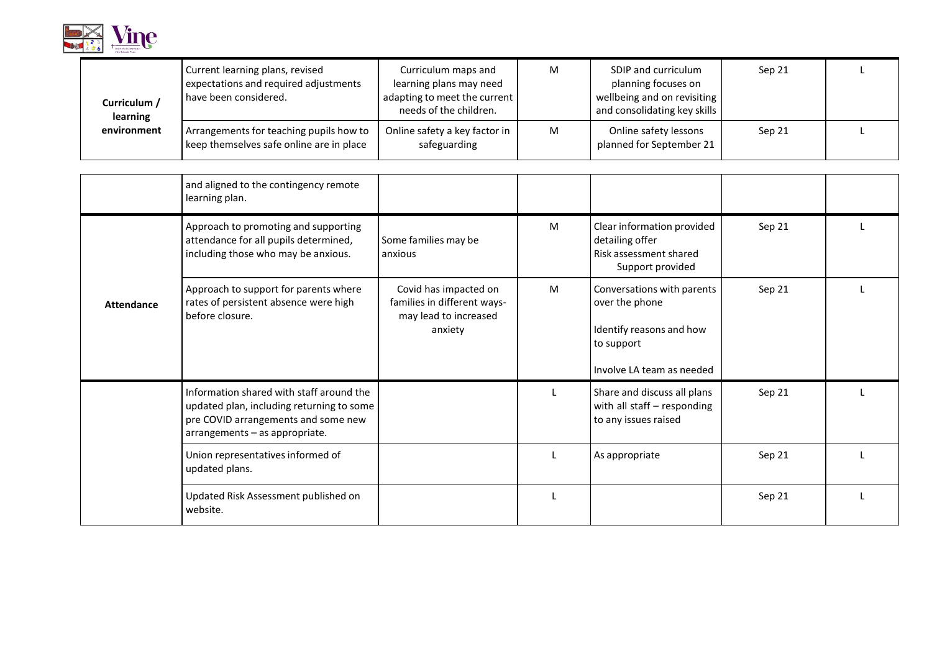

<span id="page-9-0"></span>

| Curriculum /<br>learning | Current learning plans, revised<br>expectations and required adjustments<br>have been considered. | Curriculum maps and<br>learning plans may need<br>adapting to meet the current<br>needs of the children. | M | SDIP and curriculum<br>planning focuses on<br>wellbeing and on revisiting<br>and consolidating key skills | Sep 21 |  |
|--------------------------|---------------------------------------------------------------------------------------------------|----------------------------------------------------------------------------------------------------------|---|-----------------------------------------------------------------------------------------------------------|--------|--|
| environment              | Arrangements for teaching pupils how to<br>keep themselves safe online are in place               | Online safety a key factor in<br>safeguarding                                                            | M | Online safety lessons<br>planned for September 21                                                         | Sep 21 |  |

<span id="page-9-1"></span>

|                   | and aligned to the contingency remote<br>learning plan.                                                                                                        |                                                                                          |   |                                                                                                                       |        |  |
|-------------------|----------------------------------------------------------------------------------------------------------------------------------------------------------------|------------------------------------------------------------------------------------------|---|-----------------------------------------------------------------------------------------------------------------------|--------|--|
|                   | Approach to promoting and supporting<br>attendance for all pupils determined,<br>including those who may be anxious.                                           | Some families may be<br>anxious                                                          | M | Clear information provided<br>detailing offer<br>Risk assessment shared<br>Support provided                           | Sep 21 |  |
| <b>Attendance</b> | Approach to support for parents where<br>rates of persistent absence were high<br>before closure.                                                              | Covid has impacted on<br>families in different ways-<br>may lead to increased<br>anxiety | M | Conversations with parents<br>over the phone<br>Identify reasons and how<br>to support<br>l Involve LA team as needed | Sep 21 |  |
|                   | Information shared with staff around the<br>updated plan, including returning to some<br>pre COVID arrangements and some new<br>arrangements - as appropriate. |                                                                                          |   | Share and discuss all plans<br>with all staff - responding<br>to any issues raised                                    | Sep 21 |  |
|                   | Union representatives informed of<br>updated plans.                                                                                                            |                                                                                          |   | As appropriate                                                                                                        | Sep 21 |  |
|                   | Updated Risk Assessment published on<br>website.                                                                                                               |                                                                                          |   |                                                                                                                       | Sep 21 |  |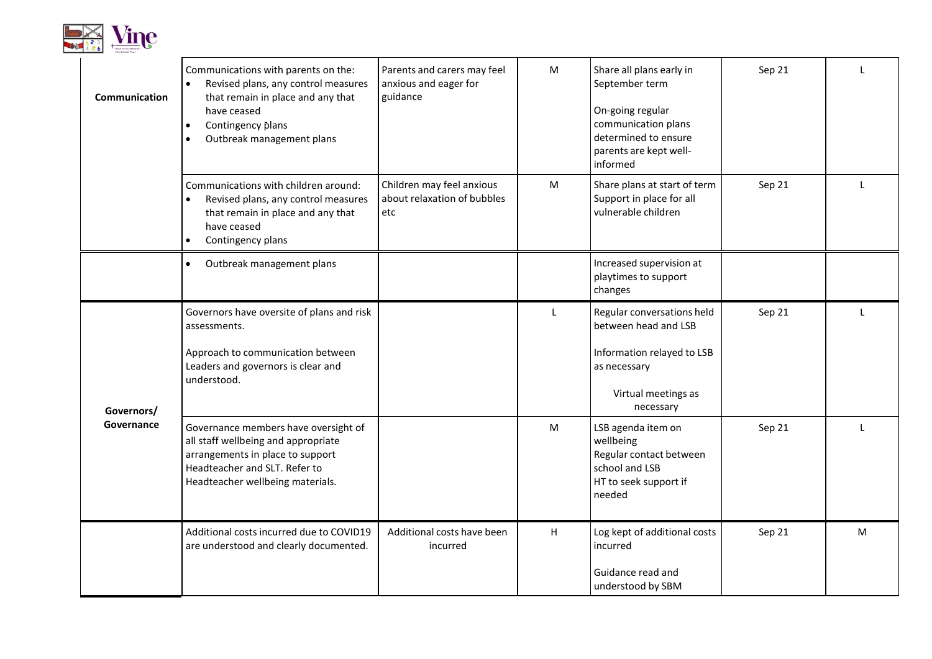

<span id="page-10-1"></span><span id="page-10-0"></span>

| Communication | Communications with parents on the:<br>Revised plans, any control measures<br>that remain in place and any that<br>have ceased<br>Contingency plans<br>$\bullet$<br>Outbreak management plans | Parents and carers may feel<br>anxious and eager for<br>guidance | M | Share all plans early in<br>September term<br>On-going regular<br>communication plans<br>determined to ensure<br>parents are kept well-<br>informed | Sep 21 |   |
|---------------|-----------------------------------------------------------------------------------------------------------------------------------------------------------------------------------------------|------------------------------------------------------------------|---|-----------------------------------------------------------------------------------------------------------------------------------------------------|--------|---|
|               | Communications with children around:<br>Revised plans, any control measures<br>$\bullet$<br>that remain in place and any that<br>have ceased<br>Contingency plans                             | Children may feel anxious<br>about relaxation of bubbles<br>etc  | M | Share plans at start of term<br>Support in place for all<br>vulnerable children                                                                     | Sep 21 |   |
|               | Outbreak management plans<br>$\bullet$                                                                                                                                                        |                                                                  |   | Increased supervision at<br>playtimes to support<br>changes                                                                                         |        |   |
| Governors/    | Governors have oversite of plans and risk<br>assessments.<br>Approach to communication between<br>Leaders and governors is clear and<br>understood.                                           |                                                                  | L | Regular conversations held<br>between head and LSB<br>Information relayed to LSB<br>as necessary<br>Virtual meetings as<br>necessary                | Sep 21 |   |
| Governance    | Governance members have oversight of<br>all staff wellbeing and appropriate<br>arrangements in place to support<br>Headteacher and SLT. Refer to<br>Headteacher wellbeing materials.          |                                                                  | M | LSB agenda item on<br>wellbeing<br>Regular contact between<br>school and LSB<br>HT to seek support if<br>needed                                     | Sep 21 |   |
|               | Additional costs incurred due to COVID19<br>are understood and clearly documented.                                                                                                            | Additional costs have been<br>incurred                           | H | Log kept of additional costs<br>incurred<br>Guidance read and<br>understood by SBM                                                                  | Sep 21 | M |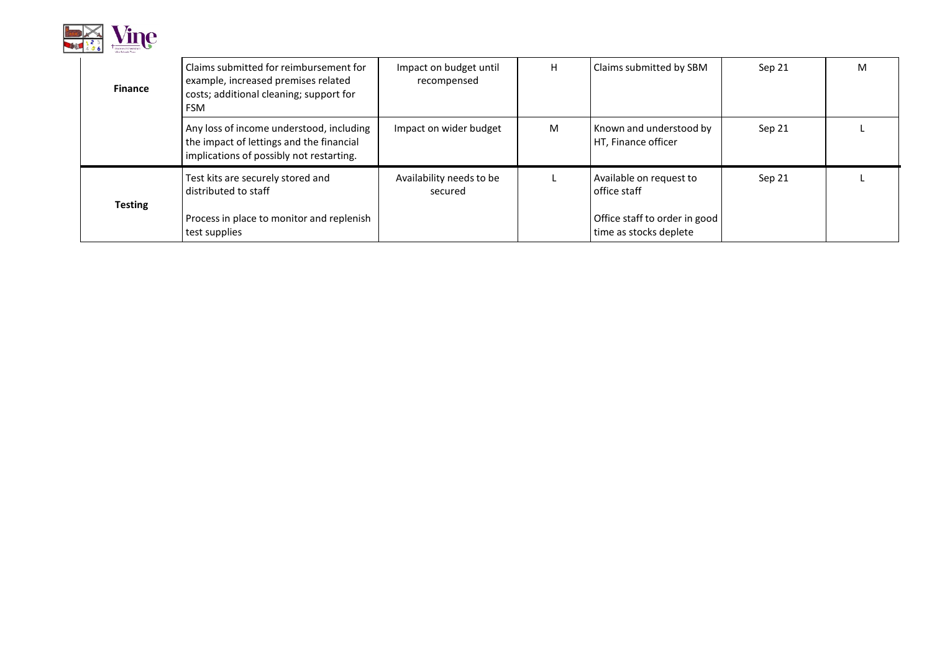

<span id="page-11-0"></span>

| <b>Finance</b> | Claims submitted for reimbursement for<br>example, increased premises related<br>costs; additional cleaning; support for<br><b>FSM</b> | Impact on budget until<br>recompensed | н | Claims submitted by SBM                                                                            | Sep 21 | M |
|----------------|----------------------------------------------------------------------------------------------------------------------------------------|---------------------------------------|---|----------------------------------------------------------------------------------------------------|--------|---|
|                | Any loss of income understood, including<br>the impact of lettings and the financial<br>implications of possibly not restarting.       | Impact on wider budget                | M | Known and understood by<br>HT, Finance officer                                                     | Sep 21 |   |
| <b>Testing</b> | Test kits are securely stored and<br>distributed to staff<br>Process in place to monitor and replenish<br>test supplies                | Availability needs to be<br>secured   |   | Available on request to<br>office staff<br>Office staff to order in good<br>time as stocks deplete | Sep 21 |   |